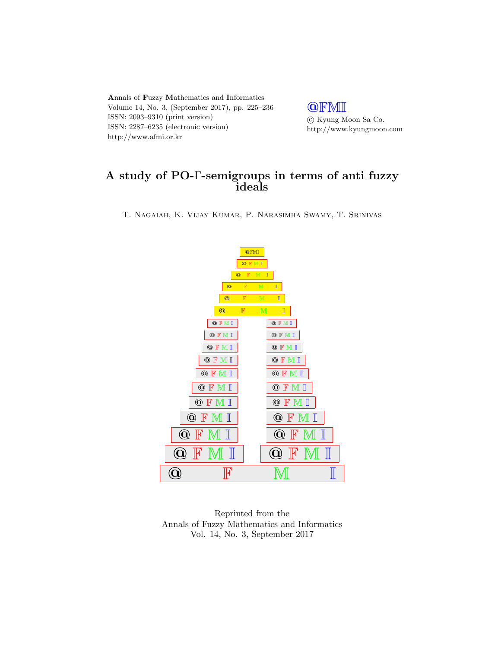Annals of Fuzzy Mathematics and Informatics Volume 14, No. 3, (September 2017), pp. 225–236 ISSN: 2093–9310 (print version) ISSN: 2287–6235 (electronic version) http://www.afmi.or.kr

**QFMI**  $\odot$ Kyung Moon Sa Co. http://www.kyungmoon.com

# A study of PO-Γ-semigroups in terms of anti fuzzy ideals

T. Nagaiah, K. Vijay Kumar, P. Narasimha Swamy, T. Srinivas



Reprinted from the Annals of Fuzzy Mathematics and Informatics Vol. 14, No. 3, September 2017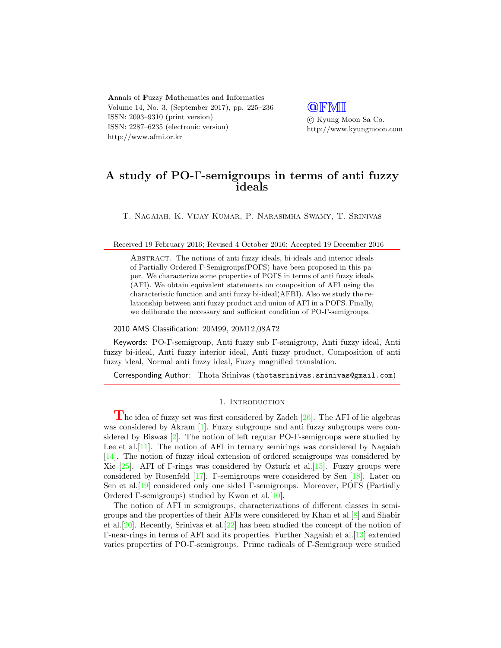Annals of Fuzzy Mathematics and Informatics Volume 14, No. 3, (September 2017), pp. 225–236 ISSN: 2093–9310 (print version) ISSN: 2287–6235 (electronic version) http://www.afmi.or.kr

**QFMI**  c Kyung Moon Sa Co. http://www.kyungmoon.com

# A study of PO-Γ-semigroups in terms of anti fuzzy ideals

T. Nagaiah, K. Vijay Kumar, P. Narasimha Swamy, T. Srinivas

Received 19 February 2016; Revised 4 October 2016; Accepted 19 December 2016

Abstract. The notions of anti fuzzy ideals, bi-ideals and interior ideals of Partially Ordered Γ-Semigroups(POΓS) have been proposed in this paper. We characterize some properties of POΓS in terms of anti fuzzy ideals (AFI). We obtain equivalent statements on composition of AFI using the characteristic function and anti fuzzy bi-ideal(AFBI). Also we study the relationship between anti fuzzy product and union of AFI in a POΓS. Finally, we deliberate the necessary and sufficient condition of PO-Γ-semigroups.

# 2010 AMS Classification: 20M99, 20M12,08A72

Keywords: PO-Γ-semigroup, Anti fuzzy sub Γ-semigroup, Anti fuzzy ideal, Anti fuzzy bi-ideal, Anti fuzzy interior ideal, Anti fuzzy product, Composition of anti fuzzy ideal, Normal anti fuzzy ideal, Fuzzy magnified translation.

Corresponding Author: Thota Srinivas (thotasrinivas.srinivas@gmail.com)

### 1. INTRODUCTION

 $\Gamma$ he idea of fuzzy set was first considered by Zadeh [\[26\]](#page-11-0). The AFI of lie algebras was considered by Akram [\[1\]](#page-11-1). Fuzzy subgroups and anti fuzzy subgroups were considered by Biswas [\[2\]](#page-11-2). The notion of left regular PO-Γ-semigroups were studied by Lee et al.  $[11]$ . The notion of AFI in ternary semirings was considered by Nagaiah [\[14\]](#page-11-4). The notion of fuzzy ideal extension of ordered semigroups was considered by Xie  $[25]$ . AFI of Γ-rings was considered by Ozturk et al. [\[15\]](#page-11-6). Fuzzy groups were considered by Rosenfeld [\[17\]](#page-11-7). Γ-semigroups were considered by Sen [\[18\]](#page-11-8). Later on Sen et al.[\[19\]](#page-11-9) considered only one sided Γ-semigroups. Moreover, POΓS (Partially Ordered  $\Gamma$ -semigroups) studied by Kwon et al. [\[10\]](#page-11-10).

The notion of AFI in semigroups, characterizations of different classes in semigroups and the properties of their AFIs were considered by Khan et al.[\[8\]](#page-11-11) and Shabir et al.[\[20\]](#page-11-12). Recently, Srinivas et al.[\[22\]](#page-11-13) has been studied the concept of the notion of Γ-near-rings in terms of AFI and its properties. Further Nagaiah et al.[\[13\]](#page-11-14) extended varies properties of PO-Γ-semigroups. Prime radicals of Γ-Semigroup were studied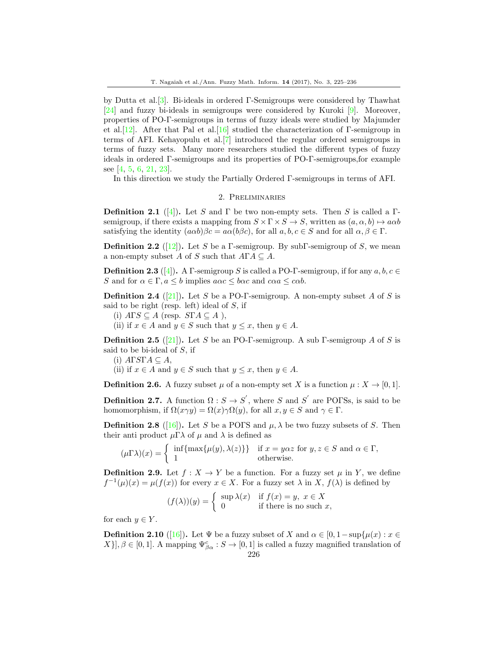by Dutta et al.[\[3\]](#page-11-15). Bi-ideals in ordered Γ-Semigroups were considered by Thawhat [\[24\]](#page-11-16) and fuzzy bi-ideals in semigroups were considered by Kuroki [\[9\]](#page-11-17). Moreover, properties of PO-Γ-semigroups in terms of fuzzy ideals were studied by Majumder et al.<sup>[\[12\]](#page-11-18)</sup>. After that Pal et al.<sup>[\[16\]](#page-11-19)</sup> studied the characterization of Γ-semigroup in terms of AFI. Kehayopulu et al.[\[7\]](#page-11-20) introduced the regular ordered semigroups in terms of fuzzy sets. Many more researchers studied the different types of fuzzy ideals in ordered Γ-semigroups and its properties of PO-Γ-semigroups,for example see [\[4,](#page-11-21) [5,](#page-11-22) [6,](#page-11-23) [21,](#page-11-24) [23\]](#page-11-25).

In this direction we study the Partially Ordered Γ-semigroups in terms of AFI.

# 2. Preliminaries

**Definition 2.1** ([\[4\]](#page-11-21)). Let S and  $\Gamma$  be two non-empty sets. Then S is called a  $\Gamma$ semigroup, if there exists a mapping from  $S \times \Gamma \times S \to S$ , written as  $(a, \alpha, b) \mapsto a\alpha b$ satisfying the identity  $(a\alpha b)\beta c = a\alpha(b\beta c)$ , for all  $a, b, c \in S$  and for all  $\alpha, \beta \in \Gamma$ .

**Definition 2.2** ([\[12\]](#page-11-18)). Let S be a Γ-semigroup. By subΓ-semigroup of S, we mean a non-empty subset A of S such that  $A\Gamma A \subseteq A$ .

**Definition 2.3** ([\[4\]](#page-11-21)). A Γ-semigroup S is called a PO-Γ-semigroup, if for any  $a, b, c \in$ S and for  $\alpha \in \Gamma$ ,  $a \le b$  implies  $a\alpha c \le b\alpha c$  and  $c\alpha a \le c\alpha b$ .

**Definition 2.4** ([\[21\]](#page-11-24)). Let S be a PO- $\Gamma$ -semigroup. A non-empty subset A of S is said to be right (resp. left) ideal of  $S$ , if

(i)  $ATS \subseteq A$  (resp.  $STA \subseteq A$ ),

(ii) if  $x \in A$  and  $y \in S$  such that  $y \leq x$ , then  $y \in A$ .

**Definition 2.5** ([\[21\]](#page-11-24)). Let S be an PO-Γ-semigroup. A sub Γ-semigroup A of S is said to be bi-ideal of  $S$ , if

(i)  $A\Gamma S\Gamma A \subseteq A$ ,

(ii) if  $x \in A$  and  $y \in S$  such that  $y \leq x$ , then  $y \in A$ .

**Definition 2.6.** A fuzzy subset  $\mu$  of a non-empty set X is a function  $\mu: X \to [0, 1]$ .

**Definition 2.7.** A function  $\Omega : S \to S'$ , where S and S' are POFSs, is said to be homomorphism, if  $\Omega(x\gamma y) = \Omega(x)\gamma \Omega(y)$ , for all  $x, y \in S$  and  $\gamma \in \Gamma$ .

**Definition 2.8** ([\[16\]](#page-11-19)). Let S be a POFS and  $\mu$ ,  $\lambda$  be two fuzzy subsets of S. Then their anti-product  $\mu\Gamma\lambda$  of  $\mu$  and  $\lambda$  is defined as

$$
(\mu \Gamma \lambda)(x) = \begin{cases} \inf \{ \max \{ \mu(y), \lambda(z) \} \} & \text{if } x = y\alpha z \text{ for } y, z \in S \text{ and } \alpha \in \Gamma, \\ 1 & \text{otherwise.} \end{cases}
$$

**Definition 2.9.** Let  $f : X \to Y$  be a function. For a fuzzy set  $\mu$  in Y, we define  $f^{-1}(\mu)(x) = \mu(f(x))$  for every  $x \in X$ . For a fuzzy set  $\lambda$  in X,  $f(\lambda)$  is defined by

$$
(f(\lambda))(y) = \begin{cases} \sup \lambda(x) & \text{if } f(x) = y, \ x \in X \\ 0 & \text{if there is no such } x, \end{cases}
$$

for each  $y \in Y$ .

**Definition 2.10** ([\[16\]](#page-11-19)). Let  $\Psi$  be a fuzzy subset of X and  $\alpha \in [0, 1-\sup\{\mu(x) : x \in$  $[X]$ ,  $\beta \in [0,1]$ . A mapping  $\Psi_{\beta\alpha}^c : S \to [0,1]$  is called a fuzzy magnified translation of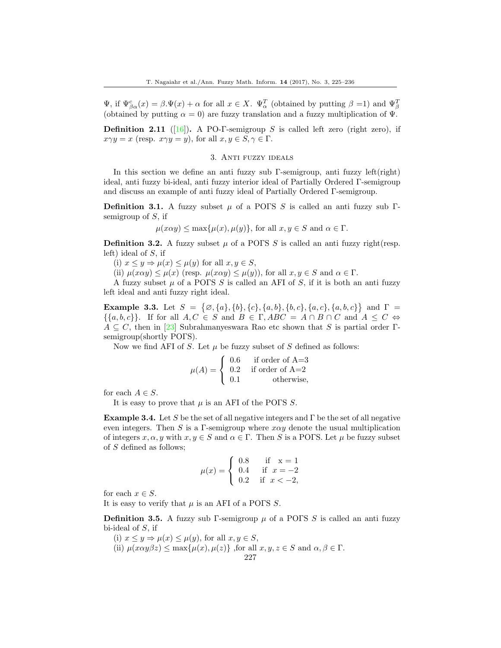$\Psi$ , if  $\Psi_{\beta\alpha}^{c}(x) = \beta \Psi(x) + \alpha$  for all  $x \in X$ .  $\Psi_{\alpha}^{T}$  (obtained by putting  $\beta = 1$ ) and  $\Psi_{\beta}^{T}$ (obtained by putting  $\alpha = 0$ ) are fuzzy translation and a fuzzy multiplication of  $\Psi$ .

**Definition 2.11** ([\[16\]](#page-11-19)). A PO-Γ-semigroup S is called left zero (right zero), if  $x\gamma y = x$  (resp.  $x\gamma y = y$ ), for all  $x, y \in S, \gamma \in \Gamma$ .

# 3. Anti fuzzy ideals

In this section we define an anti fuzzy sub Γ-semigroup, anti fuzzy left(right) ideal, anti fuzzy bi-ideal, anti fuzzy interior ideal of Partially Ordered Γ-semigroup and discuss an example of anti fuzzy ideal of Partially Ordered Γ-semigroup.

**Definition 3.1.** A fuzzy subset  $\mu$  of a POFS S is called an anti-fuzzy sub Γsemigroup of  $S$ , if

$$
\mu(x\alpha y) \le \max{\mu(x), \mu(y)},
$$
 for all  $x, y \in S$  and  $\alpha \in \Gamma$ .

**Definition 3.2.** A fuzzy subset  $\mu$  of a POFS S is called an anti fuzzy right(resp. left) ideal of S, if

(i)  $x \leq y \Rightarrow \mu(x) \leq \mu(y)$  for all  $x, y \in S$ ,

(ii)  $\mu(x\alpha y) \leq \mu(x)$  (resp.  $\mu(x\alpha y) \leq \mu(y)$ ), for all  $x, y \in S$  and  $\alpha \in \Gamma$ .

A fuzzy subset  $\mu$  of a POFS S is called an AFI of S, if it is both an antileft ideal and anti fuzzy right ideal.

<span id="page-3-0"></span>Example 3.3. Let  $S = \{ \emptyset, \{a\}, \{b\}, \{c\}, \{a, b\}, \{b, c\}, \{a, c\}, \{a, b, c\} \}$  and  $\Gamma =$  $\{\{a, b, c\}\}\$ . If for all  $A, C \in S$  and  $B \in \Gamma$ ,  $ABC = A \cap B \cap C$  and  $A \leq C \Leftrightarrow$  $A \subseteq C$ , then in [\[23\]](#page-11-25) Subrahmanyeswara Rao etc shown that S is partial order Γsemigroup(shortly POFS).

Now we find AFI of S. Let  $\mu$  be fuzzy subset of S defined as follows:

$$
\mu(A) = \begin{cases} 0.6 & \text{if order of A=3} \\ 0.2 & \text{if order of A=2} \\ 0.1 & \text{otherwise,} \end{cases}
$$

for each  $A \in S$ .

It is easy to prove that  $\mu$  is an AFI of the POFS S.

<span id="page-3-1"></span>**Example 3.4.** Let S be the set of all negative integers and  $\Gamma$  be the set of all negative even integers. Then S is a Γ-semigroup where  $x\alpha y$  denote the usual multiplication of integers  $x, \alpha, y$  with  $x, y \in S$  and  $\alpha \in \Gamma$ . Then S is a POFS. Let  $\mu$  be fuzzy subset of S defined as follows;

$$
\mu(x) = \begin{cases} \n0.8 & \text{if } x = 1 \\ \n0.4 & \text{if } x = -2 \\ \n0.2 & \text{if } x < -2, \n\end{cases}
$$

for each  $x \in S$ .

It is easy to verify that  $\mu$  is an AFI of a POFS S.

**Definition 3.5.** A fuzzy sub Γ-semigroup  $\mu$  of a POΓS S is called an anti-fuzzy bi-ideal of  $S$ , if

(i)  $x \leq y \Rightarrow \mu(x) \leq \mu(y)$ , for all  $x, y \in S$ , (ii)  $\mu(x\alpha y\beta z) \leq \max\{\mu(x), \mu(z)\}\$ , for all  $x, y, z \in S$  and  $\alpha, \beta \in \Gamma$ . 227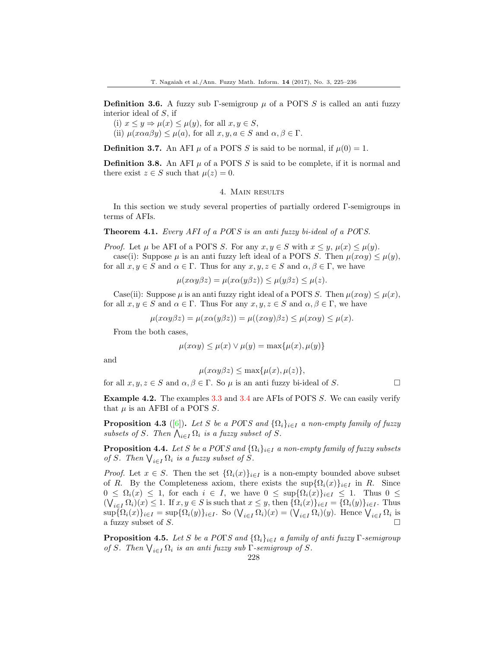**Definition 3.6.** A fuzzy sub Γ-semigroup  $\mu$  of a POΓS S is called an anti-fuzzy interior ideal of S, if

- (i)  $x \leq y \Rightarrow \mu(x) \leq \mu(y)$ , for all  $x, y \in S$ ,
- (ii)  $\mu(x\alpha a\beta y) \leq \mu(a)$ , for all  $x, y, a \in S$  and  $\alpha, \beta \in \Gamma$ .

**Definition 3.7.** An AFI  $\mu$  of a POFS S is said to be normal, if  $\mu(0) = 1$ .

**Definition 3.8.** An AFI  $\mu$  of a POFS S is said to be complete, if it is normal and there exist  $z \in S$  such that  $\mu(z) = 0$ .

#### 4. Main results

In this section we study several properties of partially ordered Γ-semigroups in terms of AFIs.

Theorem 4.1. Every AFI of a POTS is an anti fuzzy bi-ideal of a POTS.

*Proof.* Let  $\mu$  be AFI of a POFS S. For any  $x, y \in S$  with  $x \leq y$ ,  $\mu(x) \leq \mu(y)$ . case(i): Suppose  $\mu$  is an anti-fuzzy left ideal of a POFS S. Then  $\mu(x\alpha y) \leq \mu(y)$ , for all  $x, y \in S$  and  $\alpha \in \Gamma$ . Thus for any  $x, y, z \in S$  and  $\alpha, \beta \in \Gamma$ , we have

$$
\mu(x\alpha y\beta z) = \mu(x\alpha(y\beta z)) \le \mu(y\beta z) \le \mu(z).
$$

Case(ii): Suppose  $\mu$  is an anti-fuzzy right ideal of a POFS S. Then  $\mu(x\alpha y) \leq \mu(x)$ , for all  $x, y \in S$  and  $\alpha \in \Gamma$ . Thus For any  $x, y, z \in S$  and  $\alpha, \beta \in \Gamma$ , we have

$$
\mu(x\alpha y\beta z) = \mu(x\alpha(y\beta z)) = \mu((x\alpha y)\beta z) \le \mu(x\alpha y) \le \mu(x).
$$

From the both cases,

$$
\mu(x\alpha y) \le \mu(x) \vee \mu(y) = \max\{\mu(x), \mu(y)\}\
$$

and

$$
\mu(x\alpha y\beta z) \le \max\{\mu(x), \mu(z)\},\
$$

for all  $x, y, z \in S$  and  $\alpha, \beta \in \Gamma$ . So  $\mu$  is an anti-fuzzy bi-ideal of S.

Example 4.2. The examples [3.3](#page-3-0) and [3.4](#page-3-1) are AFIs of POFS S. We can easily verify that  $\mu$  is an AFBI of a POFS S.

**Proposition 4.3** ([\[6\]](#page-11-23)). Let S be a POFS and  $\{\Omega_i\}_{i\in I}$  a non-empty family of fuzzy subsets of S. Then  $\bigwedge_{i\in I}\Omega_i$  is a fuzzy subset of S.

**Proposition 4.4.** Let S be a POFS and  $\{\Omega_i\}_{i\in I}$  a non-empty family of fuzzy subsets of S. Then  $\bigvee_{i\in I}\Omega_i$  is a fuzzy subset of S.

*Proof.* Let  $x \in S$ . Then the set  $\{\Omega_i(x)\}_{i \in I}$  is a non-empty bounded above subset of R. By the Completeness axiom, there exists the  $\sup\{\Omega_i(x)\}_{i\in I}$  in R. Since  $0 \leq \Omega_i(x) \leq 1$ , for each  $i \in I$ , we have  $0 \leq \sup\{\Omega_i(x)\}_{i \in I} \leq 1$ . Thus  $0 \leq$  $(\bigvee_{i\in I}\Omega_i)(x)\leq 1$ . If  $x, y\in S$  is such that  $x\leq y$ , then  $\{\Omega_i(x)\}_{i\in I}=\{\Omega_i(y)\}_{i\in I}$ . Thus  $\sup\{\Omega_i(x)\}_{i\in I} = \sup\{\Omega_i(y)\}_{i\in I}$ . So  $(\bigvee_{i\in I}\Omega_i)(x) = (\bigvee_{i\in I}\Omega_i)(y)$ . Hence  $\bigvee_{i\in I}\Omega_i$  is a fuzzy subset of S.  $\Box$ 

**Proposition 4.5.** Let S be a POTS and  $\{\Omega_i\}_{i\in I}$  a family of anti fuzzy  $\Gamma$ -semigroup of S. Then  $\bigvee_{i \in I} \Omega_i$  is an anti fuzzy sub  $\Gamma$ -semigroup of S.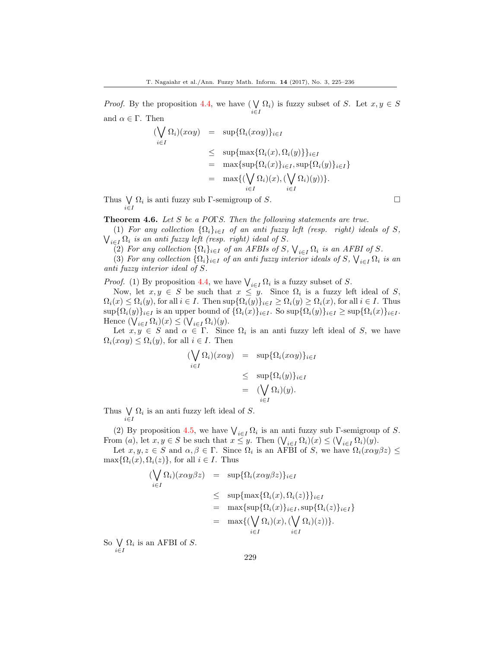*Proof.* By the proposition 4.4, we have  $(\bigvee \Omega_i)$  is fuzzy subset of S. Let  $x, y \in S$ i∈I and  $\alpha \in \Gamma$ . Then

$$
\begin{aligned}\n(\bigvee_{i \in I} \Omega_i)(x \alpha y) &= \sup \{ \Omega_i(x \alpha y) \}_{i \in I} \\
&\le \sup \{ \max \{ \Omega_i(x), \Omega_i(y) \} \}_{i \in I} \\
&= \max \{ \sup \{ \Omega_i(x) \}_{i \in I}, \sup \{ \Omega_i(y) \}_{i \in I} \} \\
&= \max \{ (\bigvee_{i \in I} \Omega_i)(x), (\bigvee_{i \in I} \Omega_i)(y)) \}.\n\end{aligned}
$$

Thus  $\bigvee \Omega_i$  is anti-fuzzy sub Γ-semigroup of S. i∈I

Theorem 4.6. Let S be a POTS. Then the following statements are true.

(1) For any collection  $\{\Omega_i\}_{i\in I}$  of an anti-fuzzy left (resp. right) ideals of S,  $\bigvee_{i\in I}\Omega_i$  is an anti-fuzzy left (resp. right) ideal of S.

(2) For any collection  $\{\Omega_i\}_{i\in I}$  of an AFBIs of S,  $\bigvee_{i\in I}\Omega_i$  is an AFBI of S.

(3) For any collection  $\{\Omega_i\}_{i\in I}$  of an anti-fuzzy interior ideals of S,  $\bigvee_{i\in I}\Omega_i$  is an anti fuzzy interior ideal of S.

*Proof.* (1) By proposition 4.4, we have  $\bigvee_{i \in I} \Omega_i$  is a fuzzy subset of S.

Now, let  $x, y \in S$  be such that  $x \leq y$ . Since  $\Omega_i$  is a fuzzy left ideal of S,  $\Omega_i(x) \leq \Omega_i(y)$ , for all  $i \in I$ . Then  $\sup{\Omega_i(y)}_{i \in I} \geq \Omega_i(y) \geq \Omega_i(x)$ , for all  $i \in I$ . Thus  $\sup\{\Omega_i(y)\}_{i\in I}$  is an upper bound of  $\{\Omega_i(x)\}_{i\in I}$ . So  $\sup\{\Omega_i(y)\}_{i\in I} \geq \sup\{\Omega_i(x)\}_{i\in I}$ . Hence  $(\bigvee_{i \in I} \Omega_i)(x) \leq (\bigvee_{i \in I} \Omega_i)(y)$ .

Let  $x, y \in S$  and  $\alpha \in \Gamma$ . Since  $\Omega_i$  is an anti-fuzzy left ideal of S, we have  $\Omega_i(x\alpha y) \leq \Omega_i(y)$ , for all  $i \in I$ . Then

$$
\begin{aligned}\n(\bigvee_{i \in I} \Omega_i)(x \alpha y) &= \sup \{ \Omega_i(x \alpha y) \}_{i \in I} \\
&\le \sup \{ \Omega_i(y) \}_{i \in I} \\
&= (\bigvee_{i \in I} \Omega_i)(y).\n\end{aligned}
$$

Thus  $\bigvee \Omega_i$  is an anti-fuzzy left ideal of S. i∈I

(2) By proposition 4.5, we have  $\bigvee_{i\in I}\Omega_i$  is an anti-fuzzy sub Γ-semigroup of S. From (a), let  $x, y \in S$  be such that  $x \leq y$ . Then  $(\bigvee_{i \in I} \Omega_i)(x) \leq (\bigvee_{i \in I} \Omega_i)(y)$ .

Let  $x, y, z \in S$  and  $\alpha, \beta \in \Gamma$ . Since  $\Omega_i$  is an AFBI of S, we have  $\Omega_i(x \alpha y \beta z) \leq$  $\max\{\Omega_i(x), \Omega_i(z)\}\$ , for all  $i \in I$ . Thus

$$
\begin{aligned}\n(\bigvee_{i \in I} \Omega_i)(x \alpha y \beta z) &= \sup \{ \Omega_i(x \alpha y \beta z) \}_{i \in I} \\
&\leq \sup \{ \max \{ \Omega_i(x), \Omega_i(z) \} \}_{i \in I} \\
&= \max \{ \sup \{ \Omega_i(x) \}_{i \in I}, \sup \{ \Omega_i(z) \}_{i \in I} \} \\
&= \max \{ (\bigvee_{i \in I} \Omega_i)(x), (\bigvee_{i \in I} \Omega_i)(z)) \}.\n\end{aligned}
$$

So W  $\bigvee_{i\in I} \Omega_i$  is an AFBI of S.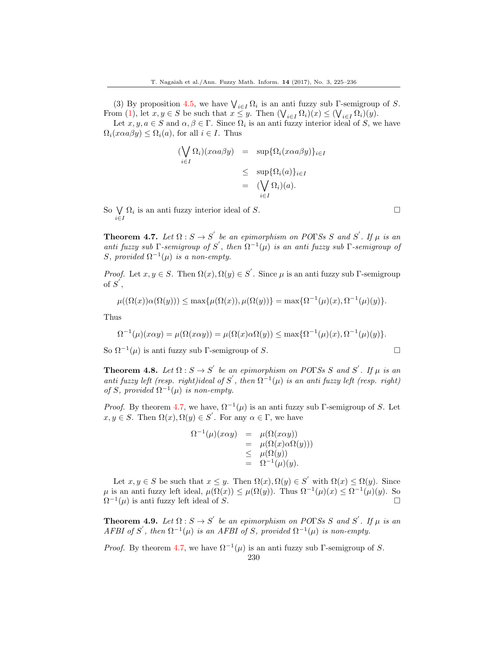(3) By proposition 4.5, we have  $\bigvee_{i\in I}\Omega_i$  is an anti-fuzzy sub Γ-semigroup of S. From (1), let  $x, y \in S$  be such that  $x \leq y$ . Then  $(\bigvee_{i \in I} \Omega_i)(x) \leq (\bigvee_{i \in I} \Omega_i)(y)$ .

Let  $x, y, a \in S$  and  $\alpha, \beta \in \Gamma$ . Since  $\Omega_i$  is an anti-fuzzy interior ideal of S, we have  $\Omega_i(x\alpha a\beta y) \leq \Omega_i(a)$ , for all  $i \in I$ . Thus

$$
\begin{aligned}\n(\bigvee_{i \in I} \Omega_i)(x \alpha a \beta y) &= \sup \{ \Omega_i(x \alpha a \beta y) \}_{i \in I} \\
&\leq \sup \{ \Omega_i(a) \}_{i \in I} \\
&= (\bigvee_{i \in I} \Omega_i)(a).\n\end{aligned}
$$

So  $\bigvee \Omega_i$  is an anti-fuzzy interior ideal of S. i∈I

**Theorem 4.7.** Let  $\Omega : S \to S'$  be an epimorphism on POTSs S and S'. If  $\mu$  is an anti fuzzy sub Γ-semigroup of S', then  $\Omega^{-1}(\mu)$  is an anti fuzzy sub Γ-semigroup of S, provided  $\Omega^{-1}(\mu)$  is a non-empty.

*Proof.* Let  $x, y \in S$ . Then  $\Omega(x), \Omega(y) \in S'$ . Since  $\mu$  is an anti-fuzzy sub  $\Gamma$ -semigroup of  $S^{'}$ ,

$$
\mu((\Omega(x))\alpha(\Omega(y)))\leq \max\{\mu(\Omega(x)),\mu(\Omega(y))\}=\max\{\Omega^{-1}(\mu)(x),\Omega^{-1}(\mu)(y)\}.
$$

Thus

$$
\Omega^{-1}(\mu)(x\alpha y) = \mu(\Omega(x\alpha y)) = \mu(\Omega(x)\alpha\Omega(y)) \le \max\{\Omega^{-1}(\mu)(x), \Omega^{-1}(\mu)(y)\}.
$$

So  $\Omega^{-1}(\mu)$  is anti-fuzzy sub Γ-semigroup of S.

**Theorem 4.8.** Let  $\Omega : S \to S'$  be an epimorphism on POTSs S and S'. If  $\mu$  is an anti fuzzy left (resp. right)ideal of S', then  $\Omega^{-1}(\mu)$  is an anti fuzzy left (resp. right) of S, provided  $\Omega^{-1}(\mu)$  is non-empty.

*Proof.* By theorem 4.7, we have,  $\Omega^{-1}(\mu)$  is an anti-fuzzy sub Γ-semigroup of S. Let  $x, y \in S$ . Then  $\Omega(x), \Omega(y) \in S'$ . For any  $\alpha \in \Gamma$ , we have

$$
\Omega^{-1}(\mu)(x\alpha y) = \mu(\Omega(x\alpha y))
$$
  
=  $\mu(\Omega(x)\alpha\Omega(y)))$   
 $\leq \mu(\Omega(y))$   
=  $\Omega^{-1}(\mu)(y).$ 

Let  $x, y \in S$  be such that  $x \leq y$ . Then  $\Omega(x), \Omega(y) \in S'$  with  $\Omega(x) \leq \Omega(y)$ . Since  $\mu$  is an anti-fuzzy left ideal,  $\mu(\Omega(x)) \leq \mu(\Omega(y))$ . Thus  $\Omega^{-1}(\mu)(x) \leq \Omega^{-1}(\mu)(y)$ . So  $\Omega^{-1}(\mu)$  is anti-fuzzy left ideal of S.

**Theorem 4.9.** Let  $\Omega : S \to S'$  be an epimorphism on POTSs S and S'. If  $\mu$  is an AFBI of S', then  $\Omega^{-1}(\mu)$  is an AFBI of S, provided  $\Omega^{-1}(\mu)$  is non-empty.

*Proof.* By theorem 4.7, we have  $\Omega^{-1}(\mu)$  is an anti-fuzzy sub Γ-semigroup of S.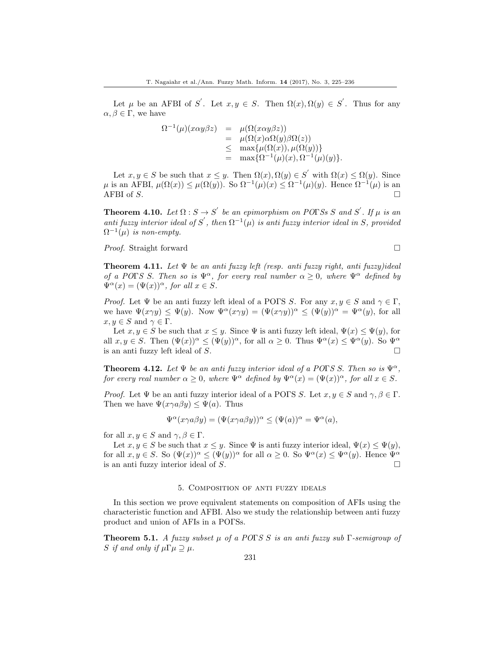Let  $\mu$  be an AFBI of S'. Let  $x, y \in S$ . Then  $\Omega(x), \Omega(y) \in S'$ . Thus for any  $\alpha, \beta \in \Gamma$ , we have

$$
\Omega^{-1}(\mu)(x\alpha y\beta z) = \mu(\Omega(x\alpha y\beta z))
$$
  
= 
$$
\mu(\Omega(x)\alpha\Omega(y)\beta\Omega(z))
$$
  

$$
\leq \max{\mu(\Omega(x)), \mu(\Omega(y))}
$$
  
= 
$$
\max{\Omega^{-1}(\mu)(x), \Omega^{-1}(\mu)(y)}.
$$

Let  $x, y \in S$  be such that  $x \leq y$ . Then  $\Omega(x), \Omega(y) \in S'$  with  $\Omega(x) \leq \Omega(y)$ . Since  $\mu$  is an AFBI,  $\mu(\Omega(x)) \leq \mu(\Omega(y))$ . So  $\Omega^{-1}(\mu)(x) \leq \Omega^{-1}(\mu)(y)$ . Hence  $\Omega^{-1}(\mu)$  is an AFBI of  $S$ .

**Theorem 4.10.** Let  $\Omega : S \to S'$  be an epimorphism on POTSs S and S'. If  $\mu$  is an anti fuzzy interior ideal of S', then  $\Omega^{-1}(\mu)$  is anti fuzzy interior ideal in S, provided  $\Omega^{-1}(\mu)$  is non-empty.

*Proof.* Straight forward □

**Theorem 4.11.** Let  $\Psi$  be an anti-fuzzy left (resp. anti-fuzzy right, anti-fuzzy)ideal of a POFS S. Then so is  $\Psi^{\alpha}$ , for every real number  $\alpha \geq 0$ , where  $\Psi^{\alpha}$  defined by  $\Psi^{\alpha}(x) = (\Psi(x))^{\alpha}$ , for all  $x \in S$ .

*Proof.* Let  $\Psi$  be an anti-fuzzy left ideal of a POFS S. For any  $x, y \in S$  and  $\gamma \in \Gamma$ , we have  $\Psi(x\gamma y) \leq \Psi(y)$ . Now  $\Psi^{\alpha}(x\gamma y) = (\Psi(x\gamma y))^{\alpha} \leq (\Psi(y))^{\alpha} = \Psi^{\alpha}(y)$ , for all  $x, y \in S$  and  $\gamma \in \Gamma$ .

Let  $x, y \in S$  be such that  $x \leq y$ . Since  $\Psi$  is anti-fuzzy left ideal,  $\Psi(x) \leq \Psi(y)$ , for all  $x, y \in S$ . Then  $(\Psi(x))^{\alpha} \leq (\Psi(y))^{\alpha}$ , for all  $\alpha \geq 0$ . Thus  $\Psi^{\alpha}(x) \leq \Psi^{\alpha}(y)$ . So  $\Psi^{\alpha}$ is an anti-fuzzy left ideal of  $S$ .

**Theorem 4.12.** Let  $\Psi$  be an anti-fuzzy interior ideal of a POFS S. Then so is  $\Psi^{\alpha}$ , for every real number  $\alpha \geq 0$ , where  $\Psi^{\alpha}$  defined by  $\Psi^{\alpha}(x) = (\Psi(x))^{\alpha}$ , for all  $x \in S$ .

*Proof.* Let  $\Psi$  be an anti-fuzzy interior ideal of a POFS S. Let  $x, y \in S$  and  $\gamma, \beta \in \Gamma$ . Then we have  $\Psi(x\gamma a\beta y) \leq \Psi(a)$ . Thus

$$
\Psi^{\alpha}(x\gamma a\beta y) = (\Psi(x\gamma a\beta y))^{\alpha} \le (\Psi(a))^{\alpha} = \Psi^{\alpha}(a),
$$

for all  $x, y \in S$  and  $\gamma, \beta \in \Gamma$ .

Let  $x, y \in S$  be such that  $x \leq y$ . Since  $\Psi$  is anti-fuzzy interior ideal,  $\Psi(x) \leq \Psi(y)$ , for all  $x, y \in S$ . So  $(\Psi(x))^{\alpha} \leq (\Psi(y))^{\alpha}$  for all  $\alpha \geq 0$ . So  $\Psi^{\alpha}(x) \leq \Psi^{\alpha}(y)$ . Hence  $\Psi^{\alpha}$ is an anti-fuzzy interior ideal of S.

#### 5. Composition of anti fuzzy ideals

In this section we prove equivalent statements on composition of AFIs using the characteristic function and AFBI. Also we study the relationship between anti fuzzy product and union of AFIs in a POΓSs.

**Theorem 5.1.** A fuzzy subset  $\mu$  of a POTS S is an anti-fuzzy sub  $\Gamma$ -semigroup of S if and only if  $\mu\Gamma\mu \supseteq \mu$ .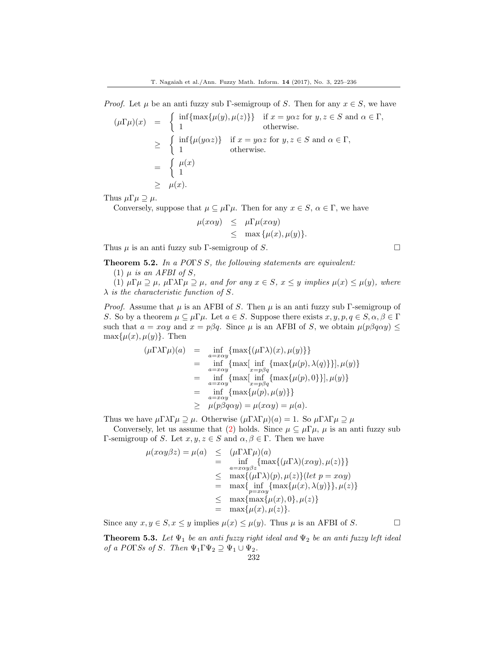*Proof.* Let  $\mu$  be an anti-fuzzy sub Γ-semigroup of S. Then for any  $x \in S$ , we have

$$
(\mu \Gamma \mu)(x) = \begin{cases} \inf \{ \max \{ \mu(y), \mu(z) \} \} & \text{if } x = y\alpha z \text{ for } y, z \in S \text{ and } \alpha \in \Gamma, \\ 1 & \text{otherwise.} \end{cases}
$$
  
\n
$$
\geq \begin{cases} \inf \{ \mu(y\alpha z) \} & \text{if } x = y\alpha z \text{ for } y, z \in S \text{ and } \alpha \in \Gamma, \\ 1 & \text{otherwise.} \end{cases}
$$
  
\n
$$
= \begin{cases} \mu(x) \\ 1 \\ \mu(x). \end{cases}
$$

Thus  $\mu\Gamma\mu \supseteq \mu$ .

Conversely, suppose that  $\mu \subseteq \mu \Gamma \mu$ . Then for any  $x \in S$ ,  $\alpha \in \Gamma$ , we have

$$
\mu(x\alpha y) \leq \mu \Gamma \mu(x\alpha y) \leq \max{\mu(x), \mu(y)}.
$$

Thus  $\mu$  is an anti-fuzzy sub Γ-semigroup of S.

Theorem 5.2. In a POTS S, the following statements are equivalent:

(1)  $\mu$  is an AFBI of S,

(1)  $\mu \Gamma \mu \supseteq \mu$ ,  $\mu \Gamma \lambda \Gamma \mu \supseteq \mu$ , and for any  $x \in S$ ,  $x \leq y$  implies  $\mu(x) \leq \mu(y)$ , where  $\lambda$  is the characteristic function of S.

*Proof.* Assume that  $\mu$  is an AFBI of S. Then  $\mu$  is an anti fuzzy sub Γ-semigroup of S. So by a theorem  $\mu \subseteq \mu \Gamma \mu$ . Let  $a \in S$ . Suppose there exists  $x, y, p, q \in S, \alpha, \beta \in \Gamma$ such that  $a = x\alpha y$  and  $x = p\beta q$ . Since  $\mu$  is an AFBI of S, we obtain  $\mu(p\beta q\alpha y) \leq$  $\max{\mu(x), \mu(y)}$ . Then

$$
(\mu \Gamma \lambda \Gamma \mu)(a) = \inf_{a = x\alpha y} \{ \max \{ (\mu \Gamma \lambda)(x), \mu(y) \} \}
$$
  
\n
$$
= \inf_{a = x\alpha y} \{ \max[\inf_{x = p\beta q} \{ \max{\mu(p), \lambda(q) \} \}], \mu(y) \}
$$
  
\n
$$
= \inf_{a = x\alpha y} \{ \max[\inf_{x = p\beta q} \{ \max{\mu(p), 0 \} \}], \mu(y) \}
$$
  
\n
$$
= \inf_{a = x\alpha y} \{ \max{\mu(p), \mu(y) \} \}
$$
  
\n
$$
\geq \mu(p\beta q\alpha y) = \mu(x\alpha y) = \mu(a).
$$

Thus we have  $\mu \Gamma \lambda \Gamma \mu \supseteq \mu$ . Otherwise  $(\mu \Gamma \lambda \Gamma \mu)(a) = 1$ . So  $\mu \Gamma \lambda \Gamma \mu \supseteq \mu$ 

Conversely, let us assume that (2) holds. Since  $\mu \subseteq \mu \Gamma \mu$ ,  $\mu$  is an anti-fuzzy sub Γ-semigroup of S. Let  $x, y, z \in S$  and  $\alpha, \beta \in \Gamma$ . Then we have

$$
\mu(x\alpha y\beta z) = \mu(a) \leq (\mu \Gamma \lambda \Gamma \mu)(a)
$$
\n
$$
= \inf_{a=x\alpha y\beta z} \{ \max\{ (\mu \Gamma \lambda)(x\alpha y), \mu(z) \} \}
$$
\n
$$
\leq \max\{ (\mu \Gamma \lambda)(p), \mu(z) \} (let \ p = x\alpha y)
$$
\n
$$
= \max\{ \inf_{p=x\alpha y} \{ \max\{ \mu(x), \lambda(y) \} \}, \mu(z) \}
$$
\n
$$
\leq \max\{ \max\{ \mu(x), 0 \}, \mu(z) \}
$$
\n
$$
= \max\{ \mu(x), \mu(z) \}.
$$

Since any  $x, y \in S, x \leq y$  implies  $\mu(x) \leq \mu(y)$ . Thus  $\mu$  is an AFBI of S.

**Theorem 5.3.** Let  $\Psi_1$  be an anti-fuzzy right ideal and  $\Psi_2$  be an anti-fuzzy left ideal of a POTSs of S. Then  $\Psi_1 \Gamma \Psi_2 \supseteq \Psi_1 \cup \Psi_2$ .

232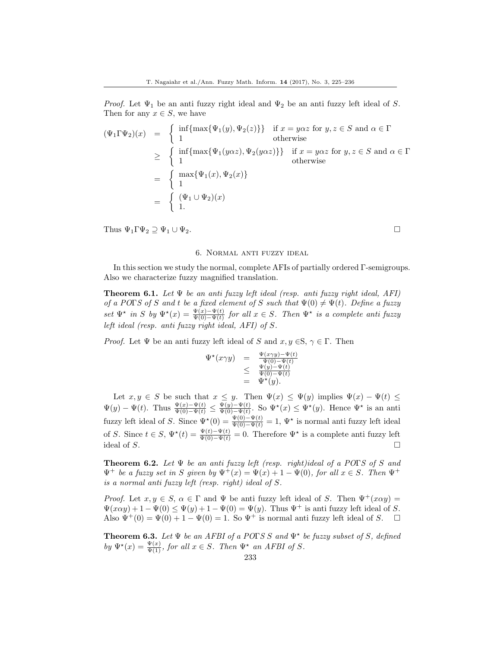Proof. Let  $\Psi_1$  be an anti-fuzzy right ideal and  $\Psi_2$  be an anti-fuzzy left ideal of S. Then for any  $x \in S$ , we have

$$
(\Psi_1 \Gamma \Psi_2)(x) = \begin{cases} \inf\{\max\{\Psi_1(y), \Psi_2(z)\}\} & \text{if } x = y\alpha z \text{ for } y, z \in S \text{ and } \alpha \in \Gamma \\ 1 & \text{otherwise} \end{cases}
$$
  
\n
$$
\geq \begin{cases} \inf\{\max\{\Psi_1(y\alpha z), \Psi_2(y\alpha z)\}\} & \text{if } x = y\alpha z \text{ for } y, z \in S \text{ and } \alpha \in \Gamma \\ 1 & \text{otherwise} \end{cases}
$$
  
\n
$$
= \begin{cases} \max\{\Psi_1(x), \Psi_2(x)\} \\ 1 \\ 1. \end{cases}
$$
  
\n
$$
= \begin{cases} (\Psi_1 \cup \Psi_2)(x) \\ 1. \end{cases}
$$

Thus  $\Psi_1 \Gamma \Psi_2 \supseteq \Psi_1 \cup \Psi_2$ .

# 6. Normal anti fuzzy ideal

In this section we study the normal, complete AFIs of partially ordered Γ-semigroups. Also we characterize fuzzy magnified translation.

**Theorem 6.1.** Let  $\Psi$  be an anti-fuzzy left ideal (resp. anti-fuzzy right ideal, AFI) of a POFS of S and t be a fixed element of S such that  $\Psi(0) \neq \Psi(t)$ . Define a fuzzy set  $\Psi^*$  in S by  $\Psi^*(x) = \frac{\Psi(x) - \Psi(t)}{\Psi(0) - \Psi(t)}$  for all  $x \in S$ . Then  $\Psi^*$  is a complete anti-fuzzy left ideal (resp. anti fuzzy right ideal, AFI) of S.

*Proof.* Let  $\Psi$  be an anti-fuzzy left ideal of S and  $x, y \in S$ ,  $\gamma \in \Gamma$ . Then

$$
\begin{array}{rcl}\n\Psi^{\star}(x\gamma y) & = & \frac{\Psi(x\gamma y) - \Psi(t)}{\Psi(0) - \Psi(t)} \\
& \leq & \frac{\Psi(y) - \Psi(t)}{\Psi(0) - \Psi(t)} \\
& = & \Psi^{\star}(y).\n\end{array}
$$

Let  $x, y \in S$  be such that  $x \leq y$ . Then  $\Psi(x) \leq \Psi(y)$  implies  $\Psi(x) - \Psi(t) \leq$  $\Psi(y) - \Psi(t)$ . Thus  $\frac{\Psi(x) - \Psi(t)}{\Psi(0) - \Psi(t)} \leq \frac{\Psi(y) - \Psi(t)}{\Psi(0) - \Psi(t)}$  $\frac{\Psi(y)-\Psi(t)}{\Psi(0)-\Psi(t)}$ . So  $\Psi^*(x) \leq \Psi^*(y)$ . Hence  $\Psi^*$  is an anti fuzzy left ideal of S. Since  $\Psi^*(0) = \frac{\Psi(0) - \Psi(t)}{\Psi(0) - \Psi(t)} = 1$ ,  $\Psi^*$  is normal anti fuzzy left ideal of S. Since  $t \in S$ ,  $\Psi^*(t) = \frac{\Psi(t) - \Psi(t)}{\Psi(0) - \Psi(t)} = 0$ . Therefore  $\Psi^*$  is a complete anti-fuzzy left ideal of S.

**Theorem 6.2.** Let  $\Psi$  be an anti-fuzzy left (resp. right)ideal of a POFS of S and  $\Psi^+$  be a fuzzy set in S given by  $\Psi^+(x) = \Psi(x) + 1 - \Psi(0)$ , for all  $x \in S$ . Then  $\Psi^+$ is a normal anti fuzzy left (resp. right) ideal of S.

*Proof.* Let  $x, y \in S$ ,  $\alpha \in \Gamma$  and  $\Psi$  be anti-tuzzy left ideal of S. Then  $\Psi^+(x\alpha y)$  =  $\Psi(x\alpha y) + 1 - \Psi(0) \le \Psi(y) + 1 - \Psi(0) = \Psi(y)$ . Thus  $\Psi^+$  is anti-fuzzy left ideal of S. Also  $\Psi^+(0) = \Psi(0) + 1 - \Psi(0) = 1$ . So  $\Psi^+$  is normal anti-uzzy left ideal of S.  $\Box$ 

**Theorem 6.3.** Let  $\Psi$  be an AFBI of a POTS S and  $\Psi^*$  be fuzzy subset of S, defined by  $\Psi^{\star}(x) = \frac{\Psi(x)}{\Psi(1)}$ , for all  $x \in S$ . Then  $\Psi^{\star}$  an AFBI of S.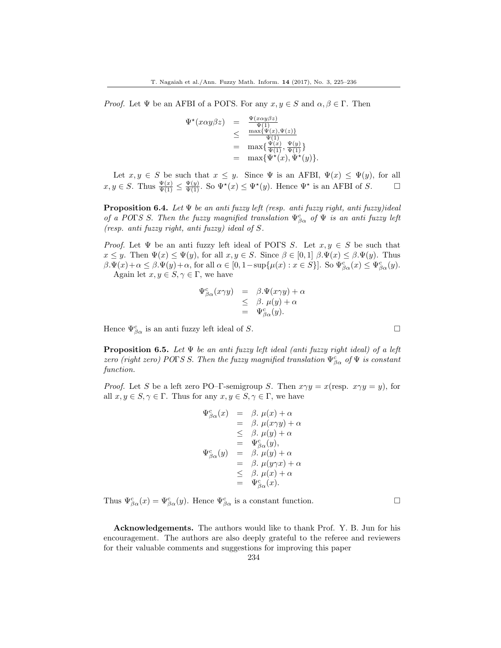*Proof.* Let  $\Psi$  be an AFBI of a POFS. For any  $x, y \in S$  and  $\alpha, \beta \in \Gamma$ . Then

$$
\Psi^{\star}(x\alpha y\beta z) = \frac{\Psi(x\alpha y\beta z)}{\Psi(1)}\n\leq \frac{\max{\Psi(x), \Psi(z)} }{\Psi(1)}\n= \max{\frac{\Psi(x)}{\Psi(1)}, \frac{\Psi(y)}{\Psi(1)}\}}\n= \max{\Psi^{\star}(x), \Psi^{\star}(y)}.
$$

Let  $x, y \in S$  be such that  $x \leq y$ . Since  $\Psi$  is an AFBI,  $\Psi(x) \leq \Psi(y)$ , for all  $x, y \in S$ . Thus  $\frac{\Psi(x)}{\Psi(1)} \leq \frac{\Psi(y)}{\Psi(1)}$ . So  $\Psi^*(x) \leq \Psi^*(y)$ . Hence  $\Psi^*$  is an AFBI of S.

**Proposition 6.4.** Let  $\Psi$  be an anti fuzzy left (resp. anti fuzzy right, anti fuzzy)ideal of a POFS S. Then the fuzzy magnified translation  $\Psi_{\beta\alpha}^c$  of  $\Psi$  is an anti-fuzzy left (resp. anti fuzzy right, anti fuzzy) ideal of S.

*Proof.* Let  $\Psi$  be an anti-fuzzy left ideal of POFS S. Let  $x, y \in S$  be such that  $x \leq y$ . Then  $\Psi(x) \leq \Psi(y)$ , for all  $x, y \in S$ . Since  $\beta \in [0, 1]$   $\beta \Psi(x) \leq \beta \Psi(y)$ . Thus  $\beta.\Psi(x)+\alpha \leq \beta.\Psi(y)+\alpha$ , for all  $\alpha \in [0,1-\sup\{\mu(x): x \in S\}]$ . So  $\Psi^c_{\beta\alpha}(x) \leq \Psi^c_{\beta\alpha}(y)$ . Again let  $x, y \in S, \gamma \in \Gamma$ , we have

$$
\Psi_{\beta\alpha}^c(x\gamma y) = \beta \Psi(x\gamma y) + \alpha \n\leq \beta. \mu(y) + \alpha \n= \Psi_{\beta\alpha}^c(y).
$$

Hence  $\Psi_{\beta\alpha}^c$  is an anti-fuzzy left ideal of S.

**Proposition 6.5.** Let  $\Psi$  be an anti-fuzzy left ideal (anti-fuzzy right ideal) of a left zero (right zero) POFS S. Then the fuzzy magnified translation  $\Psi_{\beta\alpha}^c$  of  $\Psi$  is constant function.

*Proof.* Let S be a left zero PO–Γ-semigroup S. Then  $x \gamma y = x(\text{resp. } x \gamma y = y)$ , for all  $x, y \in S, \gamma \in \Gamma$ . Thus for any  $x, y \in S, \gamma \in \Gamma$ , we have

$$
\begin{array}{rcl}\n\Psi^c_{\beta\alpha}(x) & = & \beta. \ \mu(x) + \alpha \\
 & = & \beta. \ \mu(x\gamma y) + \alpha \\
 & \leq & \beta. \ \mu(y) + \alpha \\
 & = & \Psi^c_{\beta\alpha}(y), \\
\Psi^c_{\beta\alpha}(y) & = & \beta. \ \mu(y) + \alpha \\
 & = & \beta. \ \mu(y\gamma x) + \alpha \\
 & \leq & \beta. \ \mu(x) + \alpha \\
 & = & \Psi^c_{\beta\alpha}(x).\n\end{array}
$$

Thus  $\Psi_{\beta\alpha}^{c}(x) = \Psi_{\beta\alpha}^{c}(y)$ . Hence  $\Psi_{\beta\alpha}^{c}$  is a constant function.

Acknowledgements. The authors would like to thank Prof. Y. B. Jun for his encouragement. The authors are also deeply grateful to the referee and reviewers for their valuable comments and suggestions for improving this paper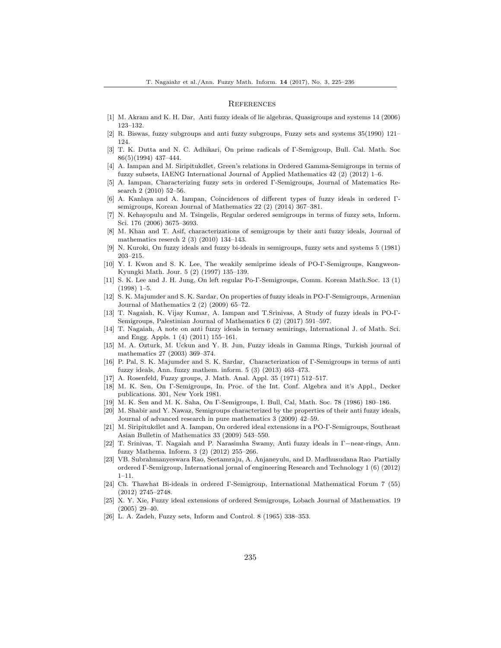#### **REFERENCES**

- <span id="page-11-1"></span>[1] M. Akram and K. H. Dar, Anti fuzzy ideals of lie algebras, Quasigroups and systems 14 (2006) 123–132.
- <span id="page-11-2"></span>[2] R. Biswas, fuzzy subgroups and anti fuzzy subgroups, Fuzzy sets and systems 35(1990) 121– 124.
- <span id="page-11-15"></span>[3] T. K. Dutta and N. C. Adhikari, On prime radicals of Γ-Semigroup, Bull. Cal. Math. Soc 86(5)(1994) 437–444.
- <span id="page-11-21"></span>[4] A. Iampan and M. Siripitukdlet, Green's relations in Ordered Gamma-Semigroups in terms of fuzzy subsets, IAENG International Journal of Applied Mathematics 42 (2) (2012) 1–6.
- <span id="page-11-22"></span>[5] A. Iampan, Characterizing fuzzy sets in ordered Γ-Semigroups, Journal of Matematics Research 2 (2010) 52–56.
- <span id="page-11-23"></span>[6] A. Kanlaya and A. Iampan, Coincidences of different types of fuzzy ideals in ordered Γsemigroups, Korean Journal of Mathematics 22 (2) (2014) 367–381.
- <span id="page-11-20"></span>[7] N. Kehayopulu and M. Tsingelis, Regular ordered semigroups in terms of fuzzy sets, Inform. Sci. 176 (2006) 3675–3693.
- <span id="page-11-11"></span>[8] M. Khan and T. Asif, characterizations of semigroups by their anti fuzzy ideals, Journal of mathematics reserch 2 (3) (2010) 134–143.
- <span id="page-11-17"></span>[9] N. Kuroki, On fuzzy ideals and fuzzy bi-ideals in semigroups, fuzzy sets and systems 5 (1981) 203–215.
- <span id="page-11-10"></span>[10] Y. I. Kwon and S. K. Lee, The weakily semiprime ideals of PO-Γ-Semigroups, Kangweon-Kyungki Math. Jour. 5 (2) (1997) 135–139.
- <span id="page-11-3"></span>[11] S. K. Lee and J. H. Jung, On left regular Po-Γ-Semigroups, Comm. Korean Math.Soc. 13 (1) (1998) 1–5.
- <span id="page-11-18"></span>[12] S. K. Majumder and S. K. Sardar, On properties of fuzzy ideals in PO-Γ-Semigroups, Armenian Journal of Mathematics 2 (2) (2009) 65–72.
- <span id="page-11-14"></span>[13] T. Nagaiah, K. Vijay Kumar, A. Iampan and T.Srinivas, A Study of fuzzy ideals in PO-Γ-Semigroups, Palestinian Journal of Mathematics 6 (2) (2017) 591–597.
- <span id="page-11-4"></span>[14] T. Nagaiah, A note on anti fuzzy ideals in ternary semirings, International J. of Math. Sci. and Engg. Appls. 1 (4) (2011) 155–161.
- <span id="page-11-6"></span>[15] M. A. Ozturk, M. Uckun and Y. B. Jun, Fuzzy ideals in Gamma Rings, Turkish journal of mathematics 27 (2003) 369–374.
- <span id="page-11-19"></span>[16] P. Pal, S. K. Majumder and S. K. Sardar, Characterization of Γ-Semigroups in terms of anti fuzzy ideals, Ann. fuzzy mathem. inform. 5 (3) (2013) 463–473.
- <span id="page-11-7"></span>[17] A. Rosenfeld, Fuzzy groups, J. Math. Anal. Appl. 35 (1971) 512–517.
- <span id="page-11-8"></span>[18] M. K. Sen, On Γ-Semigroups, In. Proc. of the Int. Conf. Algebra and it's Appl., Decker publications. 301, New York 1981.
- <span id="page-11-9"></span>[19] M. K. Sen and M. K. Saha, On Γ-Semigroups, I. Bull, Cal, Math. Soc. 78 (1986) 180–186.
- <span id="page-11-12"></span>[20] M. Shabir and Y. Nawaz, Semigroups characterized by the properties of their anti fuzzy ideals, Journal of advanced research in pure mathematics 3 (2009) 42–59.
- <span id="page-11-24"></span>[21] M. Siripitukdlet and A. Iampan, On ordered ideal extensions in a PO-Γ-Semigroups, Southeast Asian Bulletin of Mathematics 33 (2009) 543–550.
- <span id="page-11-13"></span>[22] T. Srinivas, T. Nagaiah and P. Narasimha Swamy, Anti fuzzy ideals in Γ−near-rings, Ann. fuzzy Mathema. Inform. 3 (2) (2012) 255–266.
- <span id="page-11-25"></span>[23] VB. Subrahmanyeswara Rao, Seetamraju, A. Anjaneyulu, and D. Madhusudana Rao Partially ordered Γ-Semigroup, International jornal of engineering Research and Technology 1 (6) (2012) 1–11.
- <span id="page-11-16"></span>[24] Ch. Thawhat Bi-ideals in ordered Γ-Semigroup, International Mathematical Forum 7 (55) (2012) 2745–2748.
- <span id="page-11-5"></span>[25] X. Y. Xie, Fuzzy ideal extensions of ordered Semigroups, Lobach Journal of Mathematics. 19 (2005) 29–40.
- <span id="page-11-0"></span>[26] L. A. Zadeh, Fuzzy sets, Inform and Control. 8 (1965) 338–353.